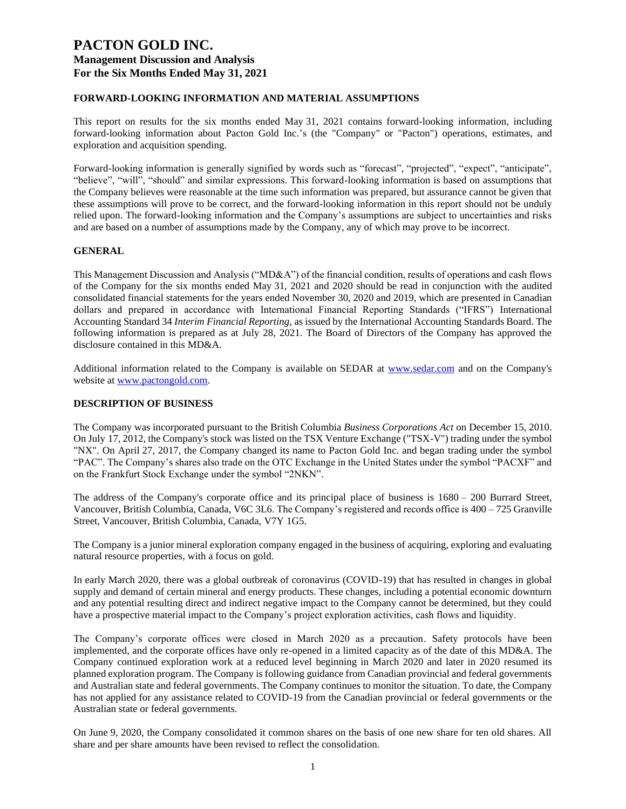### **FORWARD-LOOKING INFORMATION AND MATERIAL ASSUMPTIONS**

This report on results for the six months ended May 31, 2021 contains forward-looking information, including forward-looking information about Pacton Gold Inc.'s (the "Company" or "Pacton") operations, estimates, and exploration and acquisition spending.

Forward-looking information is generally signified by words such as "forecast", "projected", "expect", "anticipate", "believe", "will", "should" and similar expressions. This forward-looking information is based on assumptions that the Company believes were reasonable at the time such information was prepared, but assurance cannot be given that these assumptions will prove to be correct, and the forward-looking information in this report should not be unduly relied upon. The forward-looking information and the Company's assumptions are subject to uncertainties and risks and are based on a number of assumptions made by the Company, any of which may prove to be incorrect.

### **GENERAL**

This Management Discussion and Analysis ("MD&A") of the financial condition, results of operations and cash flows of the Company for the six months ended May 31, 2021 and 2020 should be read in conjunction with the audited consolidated financial statements for the years ended November 30, 2020 and 2019, which are presented in Canadian dollars and prepared in accordance with International Financial Reporting Standards ("IFRS") International Accounting Standard 34 *Interim Financial Reporting*, as issued by the International Accounting Standards Board. The following information is prepared as at July 28, 2021. The Board of Directors of the Company has approved the disclosure contained in this MD&A.

Additional information related to the Company is available on SEDAR at [www.sedar.com](http://www.sedar.com/) and on the Company's website at [www.pactongold.com.](http://www.pactongold.com/)

#### **DESCRIPTION OF BUSINESS**

The Company was incorporated pursuant to the British Columbia *Business Corporations Act* on December 15, 2010. On July 17, 2012, the Company's stock was listed on the TSX Venture Exchange ("TSX-V") trading under the symbol "NX". On April 27, 2017, the Company changed its name to Pacton Gold Inc. and began trading under the symbol "PAC". The Company's shares also trade on the OTC Exchange in the United States under the symbol "PACXF" and on the Frankfurt Stock Exchange under the symbol "2NKN".

The address of the Company's corporate office and its principal place of business is 1680 – 200 Burrard Street, Vancouver, British Columbia, Canada, V6C 3L6. The Company's registered and records office is 400 – 725 Granville Street, Vancouver, British Columbia, Canada, V7Y 1G5.

The Company is a junior mineral exploration company engaged in the business of acquiring, exploring and evaluating natural resource properties, with a focus on gold.

In early March 2020, there was a global outbreak of coronavirus (COVID-19) that has resulted in changes in global supply and demand of certain mineral and energy products. These changes, including a potential economic downturn and any potential resulting direct and indirect negative impact to the Company cannot be determined, but they could have a prospective material impact to the Company's project exploration activities, cash flows and liquidity.

The Company's corporate offices were closed in March 2020 as a precaution. Safety protocols have been implemented, and the corporate offices have only re-opened in a limited capacity as of the date of this MD&A. The Company continued exploration work at a reduced level beginning in March 2020 and later in 2020 resumed its planned exploration program. The Company is following guidance from Canadian provincial and federal governments and Australian state and federal governments. The Company continues to monitor the situation. To date, the Company has not applied for any assistance related to COVID-19 from the Canadian provincial or federal governments or the Australian state or federal governments.

On June 9, 2020, the Company consolidated it common shares on the basis of one new share for ten old shares. All share and per share amounts have been revised to reflect the consolidation.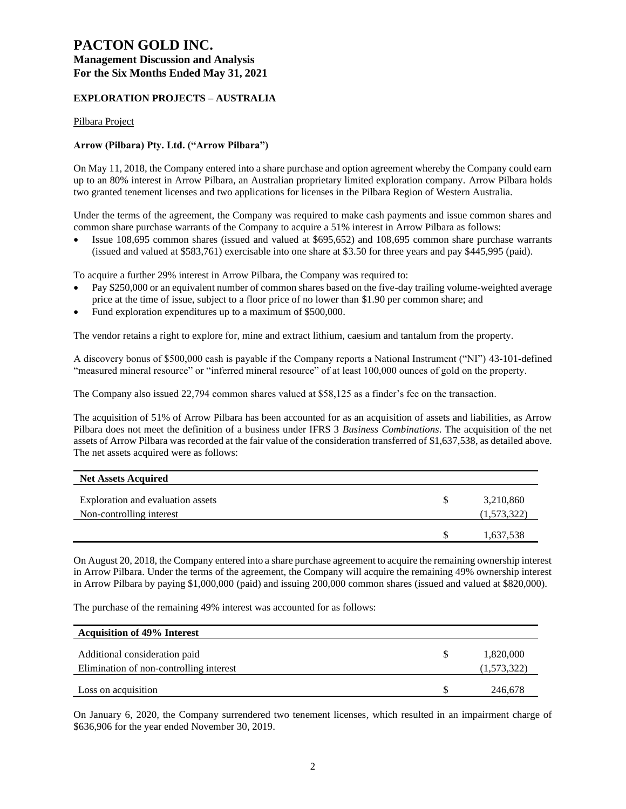# **PACTON GOLD INC. Management Discussion and Analysis**

**For the Six Months Ended May 31, 2021**

### **EXPLORATION PROJECTS – AUSTRALIA**

Pilbara Project

### **Arrow (Pilbara) Pty. Ltd. ("Arrow Pilbara")**

On May 11, 2018, the Company entered into a share purchase and option agreement whereby the Company could earn up to an 80% interest in Arrow Pilbara, an Australian proprietary limited exploration company. Arrow Pilbara holds two granted tenement licenses and two applications for licenses in the Pilbara Region of Western Australia.

Under the terms of the agreement, the Company was required to make cash payments and issue common shares and common share purchase warrants of the Company to acquire a 51% interest in Arrow Pilbara as follows:

• Issue 108,695 common shares (issued and valued at \$695,652) and 108,695 common share purchase warrants (issued and valued at \$583,761) exercisable into one share at \$3.50 for three years and pay \$445,995 (paid).

To acquire a further 29% interest in Arrow Pilbara, the Company was required to:

- Pay \$250,000 or an equivalent number of common shares based on the five-day trailing volume-weighted average price at the time of issue, subject to a floor price of no lower than \$1.90 per common share; and
- Fund exploration expenditures up to a maximum of \$500,000.

The vendor retains a right to explore for, mine and extract lithium, caesium and tantalum from the property.

A discovery bonus of \$500,000 cash is payable if the Company reports a National Instrument ("NI") 43-101-defined "measured mineral resource" or "inferred mineral resource" of at least 100,000 ounces of gold on the property.

The Company also issued 22,794 common shares valued at \$58,125 as a finder's fee on the transaction.

The acquisition of 51% of Arrow Pilbara has been accounted for as an acquisition of assets and liabilities, as Arrow Pilbara does not meet the definition of a business under IFRS 3 *Business Combinations*. The acquisition of the net assets of Arrow Pilbara was recorded at the fair value of the consideration transferred of \$1,637,538, as detailed above. The net assets acquired were as follows:

| <b>Net Assets Acquired</b>                                    |   |                          |
|---------------------------------------------------------------|---|--------------------------|
| Exploration and evaluation assets<br>Non-controlling interest | S | 3,210,860<br>(1,573,322) |
|                                                               |   | 1,637,538                |

On August 20, 2018, the Company entered into a share purchase agreement to acquire the remaining ownership interest in Arrow Pilbara. Under the terms of the agreement, the Company will acquire the remaining 49% ownership interest in Arrow Pilbara by paying \$1,000,000 (paid) and issuing 200,000 common shares (issued and valued at \$820,000).

The purchase of the remaining 49% interest was accounted for as follows:

| <b>Acquisition of 49% Interest</b>                                       |                          |
|--------------------------------------------------------------------------|--------------------------|
| Additional consideration paid<br>Elimination of non-controlling interest | 1,820,000<br>(1,573,322) |
| Loss on acquisition                                                      | 246,678                  |

On January 6, 2020, the Company surrendered two tenement licenses, which resulted in an impairment charge of \$636,906 for the year ended November 30, 2019.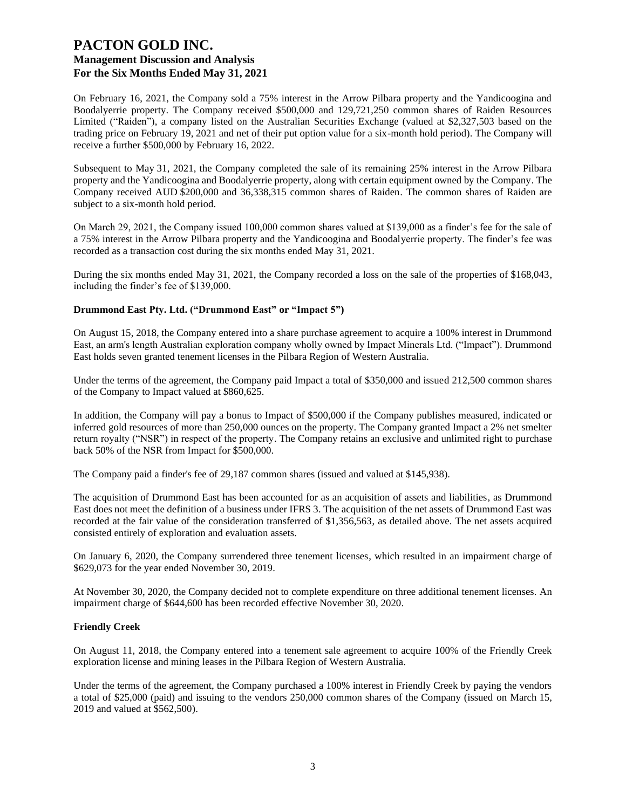On February 16, 2021, the Company sold a 75% interest in the Arrow Pilbara property and the Yandicoogina and Boodalyerrie property. The Company received \$500,000 and 129,721,250 common shares of Raiden Resources Limited ("Raiden"), a company listed on the Australian Securities Exchange (valued at \$2,327,503 based on the trading price on February 19, 2021 and net of their put option value for a six-month hold period). The Company will receive a further \$500,000 by February 16, 2022.

Subsequent to May 31, 2021, the Company completed the sale of its remaining 25% interest in the Arrow Pilbara property and the Yandicoogina and Boodalyerrie property, along with certain equipment owned by the Company. The Company received AUD \$200,000 and 36,338,315 common shares of Raiden. The common shares of Raiden are subject to a six-month hold period.

On March 29, 2021, the Company issued 100,000 common shares valued at \$139,000 as a finder's fee for the sale of a 75% interest in the Arrow Pilbara property and the Yandicoogina and Boodalyerrie property. The finder's fee was recorded as a transaction cost during the six months ended May 31, 2021.

During the six months ended May 31, 2021, the Company recorded a loss on the sale of the properties of \$168,043, including the finder's fee of \$139,000.

### **Drummond East Pty. Ltd. ("Drummond East" or "Impact 5")**

On August 15, 2018, the Company entered into a share purchase agreement to acquire a 100% interest in Drummond East, an arm's length Australian exploration company wholly owned by Impact Minerals Ltd. ("Impact"). Drummond East holds seven granted tenement licenses in the Pilbara Region of Western Australia.

Under the terms of the agreement, the Company paid Impact a total of \$350,000 and issued 212,500 common shares of the Company to Impact valued at \$860,625.

In addition, the Company will pay a bonus to Impact of \$500,000 if the Company publishes measured, indicated or inferred gold resources of more than 250,000 ounces on the property. The Company granted Impact a 2% net smelter return royalty ("NSR") in respect of the property. The Company retains an exclusive and unlimited right to purchase back 50% of the NSR from Impact for \$500,000.

The Company paid a finder's fee of 29,187 common shares (issued and valued at \$145,938).

The acquisition of Drummond East has been accounted for as an acquisition of assets and liabilities, as Drummond East does not meet the definition of a business under IFRS 3. The acquisition of the net assets of Drummond East was recorded at the fair value of the consideration transferred of \$1,356,563, as detailed above. The net assets acquired consisted entirely of exploration and evaluation assets.

On January 6, 2020, the Company surrendered three tenement licenses, which resulted in an impairment charge of \$629,073 for the year ended November 30, 2019.

At November 30, 2020, the Company decided not to complete expenditure on three additional tenement licenses. An impairment charge of \$644,600 has been recorded effective November 30, 2020.

#### **Friendly Creek**

On August 11, 2018, the Company entered into a tenement sale agreement to acquire 100% of the Friendly Creek exploration license and mining leases in the Pilbara Region of Western Australia.

Under the terms of the agreement, the Company purchased a 100% interest in Friendly Creek by paying the vendors a total of \$25,000 (paid) and issuing to the vendors 250,000 common shares of the Company (issued on March 15, 2019 and valued at \$562,500).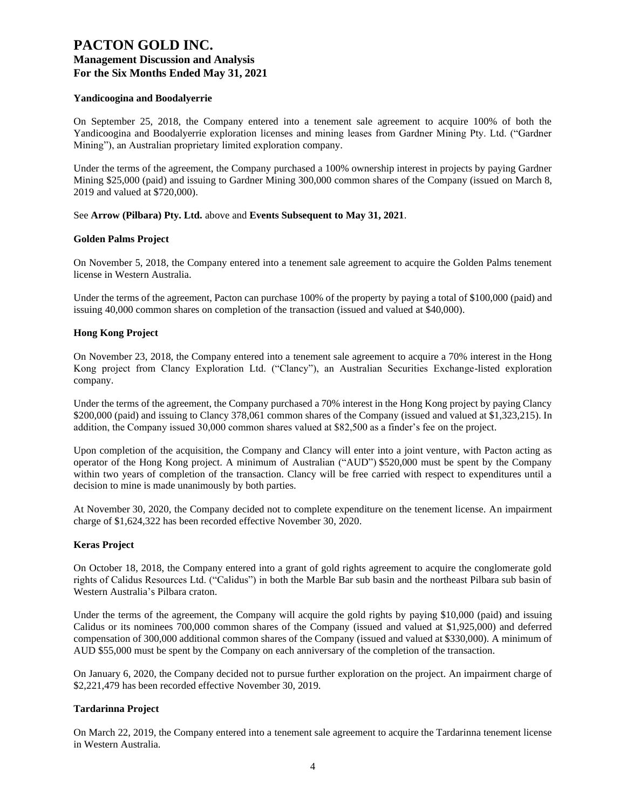#### **Yandicoogina and Boodalyerrie**

On September 25, 2018, the Company entered into a tenement sale agreement to acquire 100% of both the Yandicoogina and Boodalyerrie exploration licenses and mining leases from Gardner Mining Pty. Ltd. ("Gardner Mining"), an Australian proprietary limited exploration company.

Under the terms of the agreement, the Company purchased a 100% ownership interest in projects by paying Gardner Mining \$25,000 (paid) and issuing to Gardner Mining 300,000 common shares of the Company (issued on March 8, 2019 and valued at \$720,000).

See **Arrow (Pilbara) Pty. Ltd.** above and **Events Subsequent to May 31, 2021**.

#### **Golden Palms Project**

On November 5, 2018, the Company entered into a tenement sale agreement to acquire the Golden Palms tenement license in Western Australia.

Under the terms of the agreement, Pacton can purchase 100% of the property by paying a total of \$100,000 (paid) and issuing 40,000 common shares on completion of the transaction (issued and valued at \$40,000).

#### **Hong Kong Project**

On November 23, 2018, the Company entered into a tenement sale agreement to acquire a 70% interest in the Hong Kong project from Clancy Exploration Ltd. ("Clancy"), an Australian Securities Exchange-listed exploration company.

Under the terms of the agreement, the Company purchased a 70% interest in the Hong Kong project by paying Clancy \$200,000 (paid) and issuing to Clancy 378,061 common shares of the Company (issued and valued at \$1,323,215). In addition, the Company issued 30,000 common shares valued at \$82,500 as a finder's fee on the project.

Upon completion of the acquisition, the Company and Clancy will enter into a joint venture, with Pacton acting as operator of the Hong Kong project. A minimum of Australian ("AUD") \$520,000 must be spent by the Company within two years of completion of the transaction. Clancy will be free carried with respect to expenditures until a decision to mine is made unanimously by both parties.

At November 30, 2020, the Company decided not to complete expenditure on the tenement license. An impairment charge of \$1,624,322 has been recorded effective November 30, 2020.

#### **Keras Project**

On October 18, 2018, the Company entered into a grant of gold rights agreement to acquire the conglomerate gold rights of Calidus Resources Ltd. ("Calidus") in both the Marble Bar sub basin and the northeast Pilbara sub basin of Western Australia's Pilbara craton.

Under the terms of the agreement, the Company will acquire the gold rights by paying \$10,000 (paid) and issuing Calidus or its nominees 700,000 common shares of the Company (issued and valued at \$1,925,000) and deferred compensation of 300,000 additional common shares of the Company (issued and valued at \$330,000). A minimum of AUD \$55,000 must be spent by the Company on each anniversary of the completion of the transaction.

On January 6, 2020, the Company decided not to pursue further exploration on the project. An impairment charge of \$2,221,479 has been recorded effective November 30, 2019.

#### **Tardarinna Project**

On March 22, 2019, the Company entered into a tenement sale agreement to acquire the Tardarinna tenement license in Western Australia.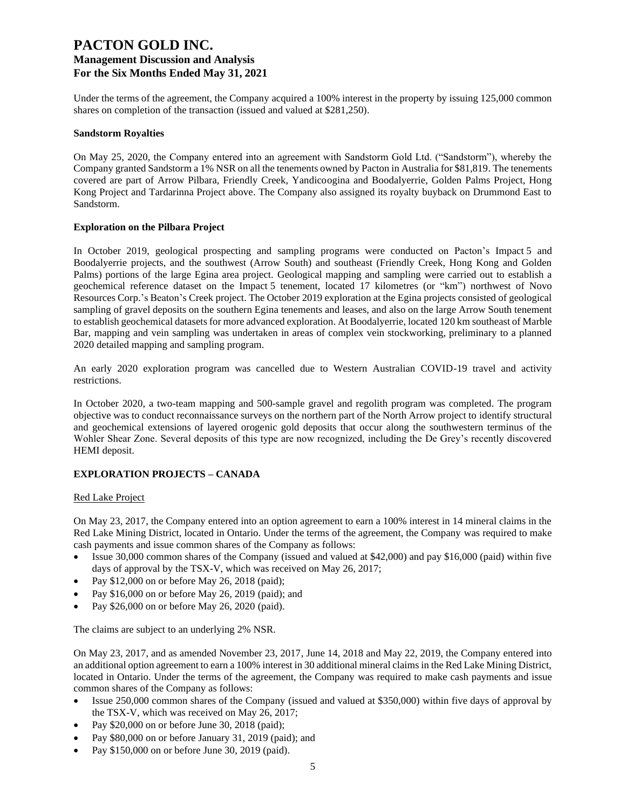Under the terms of the agreement, the Company acquired a 100% interest in the property by issuing 125,000 common shares on completion of the transaction (issued and valued at \$281,250).

#### **Sandstorm Royalties**

On May 25, 2020, the Company entered into an agreement with Sandstorm Gold Ltd. ("Sandstorm"), whereby the Company granted Sandstorm a 1% NSR on all the tenements owned by Pacton in Australia for \$81,819. The tenements covered are part of Arrow Pilbara, Friendly Creek, Yandicoogina and Boodalyerrie, Golden Palms Project, Hong Kong Project and Tardarinna Project above. The Company also assigned its royalty buyback on Drummond East to Sandstorm.

#### **Exploration on the Pilbara Project**

In October 2019, geological prospecting and sampling programs were conducted on Pacton's Impact 5 and Boodalyerrie projects, and the southwest (Arrow South) and southeast (Friendly Creek, Hong Kong and Golden Palms) portions of the large Egina area project. Geological mapping and sampling were carried out to establish a geochemical reference dataset on the Impact 5 tenement, located 17 kilometres (or "km") northwest of Novo Resources Corp.'s Beaton's Creek project. The October 2019 exploration at the Egina projects consisted of geological sampling of gravel deposits on the southern Egina tenements and leases, and also on the large Arrow South tenement to establish geochemical datasets for more advanced exploration. At Boodalyerrie, located 120 km southeast of Marble Bar, mapping and vein sampling was undertaken in areas of complex vein stockworking, preliminary to a planned 2020 detailed mapping and sampling program.

An early 2020 exploration program was cancelled due to Western Australian COVID-19 travel and activity restrictions.

In October 2020, a two-team mapping and 500-sample gravel and regolith program was completed. The program objective was to conduct reconnaissance surveys on the northern part of the North Arrow project to identify structural and geochemical extensions of layered orogenic gold deposits that occur along the southwestern terminus of the Wohler Shear Zone. Several deposits of this type are now recognized, including the De Grey's recently discovered HEMI deposit.

### **EXPLORATION PROJECTS – CANADA**

### Red Lake Project

On May 23, 2017, the Company entered into an option agreement to earn a 100% interest in 14 mineral claims in the Red Lake Mining District, located in Ontario. Under the terms of the agreement, the Company was required to make cash payments and issue common shares of the Company as follows:

- Issue 30,000 common shares of the Company (issued and valued at \$42,000) and pay \$16,000 (paid) within five days of approval by the TSX-V, which was received on May 26, 2017;
- Pay \$12,000 on or before May 26, 2018 (paid);
- Pay \$16,000 on or before May 26, 2019 (paid); and
- Pay \$26,000 on or before May 26, 2020 (paid).

The claims are subject to an underlying 2% NSR.

On May 23, 2017, and as amended November 23, 2017, June 14, 2018 and May 22, 2019, the Company entered into an additional option agreement to earn a 100% interest in 30 additional mineral claims in the Red Lake Mining District, located in Ontario. Under the terms of the agreement, the Company was required to make cash payments and issue common shares of the Company as follows:

- Issue 250,000 common shares of the Company (issued and valued at \$350,000) within five days of approval by the TSX-V, which was received on May 26, 2017;
- Pay \$20,000 on or before June 30, 2018 (paid);
- Pay \$80,000 on or before January 31, 2019 (paid); and
- Pay \$150,000 on or before June 30, 2019 (paid).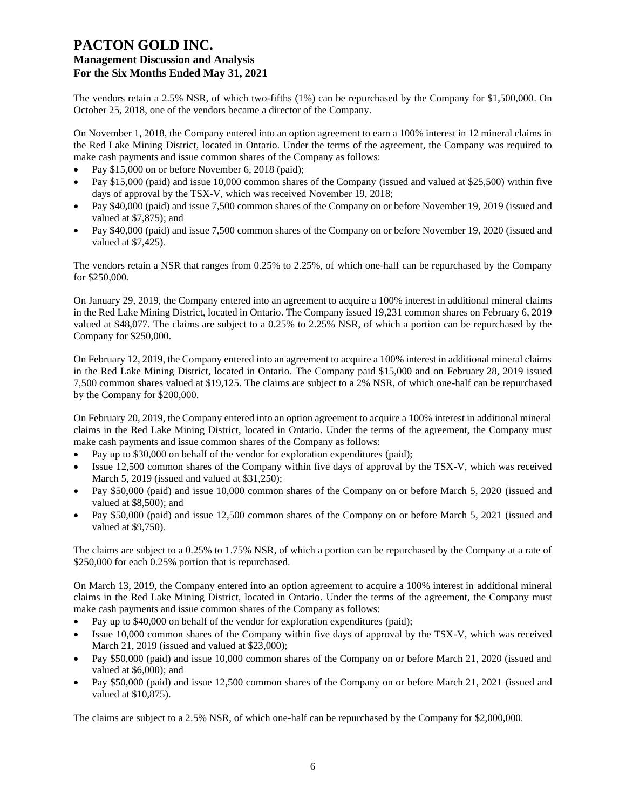The vendors retain a 2.5% NSR, of which two-fifths (1%) can be repurchased by the Company for \$1,500,000. On October 25, 2018, one of the vendors became a director of the Company.

On November 1, 2018, the Company entered into an option agreement to earn a 100% interest in 12 mineral claims in the Red Lake Mining District, located in Ontario. Under the terms of the agreement, the Company was required to make cash payments and issue common shares of the Company as follows:

- Pay \$15,000 on or before November 6, 2018 (paid);
- Pay \$15,000 (paid) and issue 10,000 common shares of the Company (issued and valued at \$25,500) within five days of approval by the TSX-V, which was received November 19, 2018;
- Pay \$40,000 (paid) and issue 7,500 common shares of the Company on or before November 19, 2019 (issued and valued at \$7,875); and
- Pay \$40,000 (paid) and issue 7,500 common shares of the Company on or before November 19, 2020 (issued and valued at \$7,425).

The vendors retain a NSR that ranges from 0.25% to 2.25%, of which one-half can be repurchased by the Company for \$250,000.

On January 29, 2019, the Company entered into an agreement to acquire a 100% interest in additional mineral claims in the Red Lake Mining District, located in Ontario. The Company issued 19,231 common shares on February 6, 2019 valued at \$48,077. The claims are subject to a 0.25% to 2.25% NSR, of which a portion can be repurchased by the Company for \$250,000.

On February 12, 2019, the Company entered into an agreement to acquire a 100% interest in additional mineral claims in the Red Lake Mining District, located in Ontario. The Company paid \$15,000 and on February 28, 2019 issued 7,500 common shares valued at \$19,125. The claims are subject to a 2% NSR, of which one-half can be repurchased by the Company for \$200,000.

On February 20, 2019, the Company entered into an option agreement to acquire a 100% interest in additional mineral claims in the Red Lake Mining District, located in Ontario. Under the terms of the agreement, the Company must make cash payments and issue common shares of the Company as follows:

- Pay up to \$30,000 on behalf of the vendor for exploration expenditures (paid);
- Issue 12,500 common shares of the Company within five days of approval by the TSX-V, which was received March 5, 2019 (issued and valued at \$31,250);
- Pay \$50,000 (paid) and issue 10,000 common shares of the Company on or before March 5, 2020 (issued and valued at \$8,500); and
- Pay \$50,000 (paid) and issue 12,500 common shares of the Company on or before March 5, 2021 (issued and valued at \$9,750).

The claims are subject to a 0.25% to 1.75% NSR, of which a portion can be repurchased by the Company at a rate of \$250,000 for each 0.25% portion that is repurchased.

On March 13, 2019, the Company entered into an option agreement to acquire a 100% interest in additional mineral claims in the Red Lake Mining District, located in Ontario. Under the terms of the agreement, the Company must make cash payments and issue common shares of the Company as follows:

- Pay up to \$40,000 on behalf of the vendor for exploration expenditures (paid);
- Issue 10,000 common shares of the Company within five days of approval by the TSX-V, which was received March 21, 2019 (issued and valued at \$23,000);
- Pay \$50,000 (paid) and issue 10,000 common shares of the Company on or before March 21, 2020 (issued and valued at \$6,000); and
- Pay \$50,000 (paid) and issue 12,500 common shares of the Company on or before March 21, 2021 (issued and valued at \$10,875).

The claims are subject to a 2.5% NSR, of which one-half can be repurchased by the Company for \$2,000,000.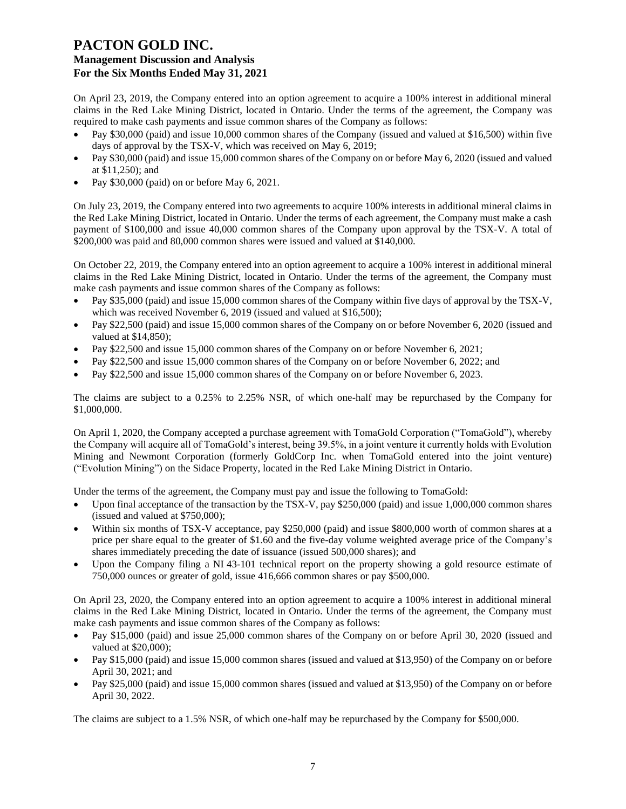On April 23, 2019, the Company entered into an option agreement to acquire a 100% interest in additional mineral claims in the Red Lake Mining District, located in Ontario. Under the terms of the agreement, the Company was required to make cash payments and issue common shares of the Company as follows:

- Pay \$30,000 (paid) and issue 10,000 common shares of the Company (issued and valued at \$16,500) within five days of approval by the TSX-V, which was received on May 6, 2019;
- Pay \$30,000 (paid) and issue 15,000 common shares of the Company on or before May 6, 2020 (issued and valued at \$11,250); and
- Pay \$30,000 (paid) on or before May 6, 2021.

On July 23, 2019, the Company entered into two agreements to acquire 100% interests in additional mineral claims in the Red Lake Mining District, located in Ontario. Under the terms of each agreement, the Company must make a cash payment of \$100,000 and issue 40,000 common shares of the Company upon approval by the TSX-V. A total of \$200,000 was paid and 80,000 common shares were issued and valued at \$140,000.

On October 22, 2019, the Company entered into an option agreement to acquire a 100% interest in additional mineral claims in the Red Lake Mining District, located in Ontario. Under the terms of the agreement, the Company must make cash payments and issue common shares of the Company as follows:

- Pay \$35,000 (paid) and issue 15,000 common shares of the Company within five days of approval by the TSX-V, which was received November 6, 2019 (issued and valued at \$16,500);
- Pay \$22,500 (paid) and issue 15,000 common shares of the Company on or before November 6, 2020 (issued and valued at \$14,850);
- Pay \$22,500 and issue 15,000 common shares of the Company on or before November 6, 2021;
- Pay \$22,500 and issue 15,000 common shares of the Company on or before November 6, 2022; and
- Pay \$22,500 and issue 15,000 common shares of the Company on or before November 6, 2023.

The claims are subject to a 0.25% to 2.25% NSR, of which one-half may be repurchased by the Company for \$1,000,000.

On April 1, 2020, the Company accepted a purchase agreement with TomaGold Corporation ("TomaGold"), whereby the Company will acquire all of TomaGold's interest, being 39.5%, in a joint venture it currently holds with Evolution Mining and Newmont Corporation (formerly GoldCorp Inc. when TomaGold entered into the joint venture) ("Evolution Mining") on the Sidace Property, located in the Red Lake Mining District in Ontario.

Under the terms of the agreement, the Company must pay and issue the following to TomaGold:

- Upon final acceptance of the transaction by the TSX-V, pay \$250,000 (paid) and issue 1,000,000 common shares (issued and valued at \$750,000);
- Within six months of TSX-V acceptance, pay \$250,000 (paid) and issue \$800,000 worth of common shares at a price per share equal to the greater of \$1.60 and the five-day volume weighted average price of the Company's shares immediately preceding the date of issuance (issued 500,000 shares); and
- Upon the Company filing a NI 43-101 technical report on the property showing a gold resource estimate of 750,000 ounces or greater of gold, issue 416,666 common shares or pay \$500,000.

On April 23, 2020, the Company entered into an option agreement to acquire a 100% interest in additional mineral claims in the Red Lake Mining District, located in Ontario. Under the terms of the agreement, the Company must make cash payments and issue common shares of the Company as follows:

- Pay \$15,000 (paid) and issue 25,000 common shares of the Company on or before April 30, 2020 (issued and valued at \$20,000);
- Pay \$15,000 (paid) and issue 15,000 common shares (issued and valued at \$13,950) of the Company on or before April 30, 2021; and
- Pay \$25,000 (paid) and issue 15,000 common shares (issued and valued at \$13,950) of the Company on or before April 30, 2022.

The claims are subject to a 1.5% NSR, of which one-half may be repurchased by the Company for \$500,000.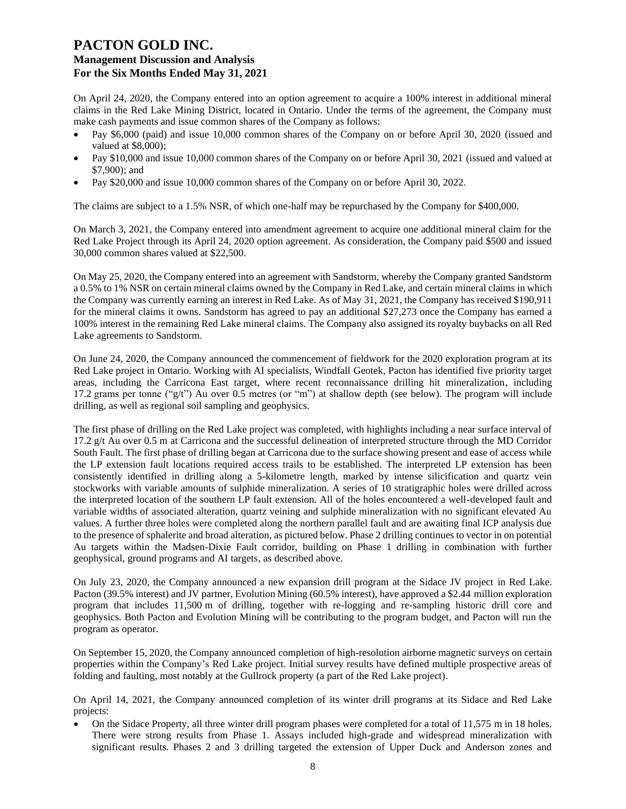On April 24, 2020, the Company entered into an option agreement to acquire a 100% interest in additional mineral claims in the Red Lake Mining District, located in Ontario. Under the terms of the agreement, the Company must make cash payments and issue common shares of the Company as follows:

- Pay \$6,000 (paid) and issue 10,000 common shares of the Company on or before April 30, 2020 (issued and valued at \$8,000);
- Pay \$10,000 and issue 10,000 common shares of the Company on or before April 30, 2021 (issued and valued at \$7,900); and
- Pay \$20,000 and issue 10,000 common shares of the Company on or before April 30, 2022.

The claims are subject to a 1.5% NSR, of which one-half may be repurchased by the Company for \$400,000.

On March 3, 2021, the Company entered into amendment agreement to acquire one additional mineral claim for the Red Lake Project through its April 24, 2020 option agreement. As consideration, the Company paid \$500 and issued 30,000 common shares valued at \$22,500.

On May 25, 2020, the Company entered into an agreement with Sandstorm, whereby the Company granted Sandstorm a 0.5% to 1% NSR on certain mineral claims owned by the Company in Red Lake, and certain mineral claims in which the Company was currently earning an interest in Red Lake. As of May 31, 2021, the Company has received \$190,911 for the mineral claims it owns. Sandstorm has agreed to pay an additional \$27,273 once the Company has earned a 100% interest in the remaining Red Lake mineral claims. The Company also assigned its royalty buybacks on all Red Lake agreements to Sandstorm.

On June 24, 2020, the Company announced the commencement of fieldwork for the 2020 exploration program at its Red Lake project in Ontario. Working with AI specialists, Windfall Geotek, Pacton has identified five priority target areas, including the Carricona East target, where recent reconnaissance drilling hit mineralization, including 17.2 grams per tonne ("g/t") Au over 0.5 metres (or "m") at shallow depth (see below). The program will include drilling, as well as regional soil sampling and geophysics.

The first phase of drilling on the Red Lake project was completed, with highlights including a near surface interval of 17.2 g/t Au over 0.5 m at Carricona and the successful delineation of interpreted structure through the MD Corridor South Fault. The first phase of drilling began at Carricona due to the surface showing present and ease of access while the LP extension fault locations required access trails to be established. The interpreted LP extension has been consistently identified in drilling along a 5-kilometre length, marked by intense silicification and quartz vein stockworks with variable amounts of sulphide mineralization. A series of 10 stratigraphic holes were drilled across the interpreted location of the southern LP fault extension. All of the holes encountered a well-developed fault and variable widths of associated alteration, quartz veining and sulphide mineralization with no significant elevated Au values. A further three holes were completed along the northern parallel fault and are awaiting final ICP analysis due to the presence of sphalerite and broad alteration, as pictured below. Phase 2 drilling continues to vector in on potential Au targets within the Madsen-Dixie Fault corridor, building on Phase 1 drilling in combination with further geophysical, ground programs and AI targets, as described above.

On July 23, 2020, the Company announced a new expansion drill program at the Sidace JV project in Red Lake. Pacton (39.5% interest) and JV partner, Evolution Mining (60.5% interest), have approved a \$2.44 million exploration program that includes 11,500 m of drilling, together with re-logging and re-sampling historic drill core and geophysics. Both Pacton and Evolution Mining will be contributing to the program budget, and Pacton will run the program as operator.

On September 15, 2020, the Company announced completion of high-resolution airborne magnetic surveys on certain properties within the Company's Red Lake project. Initial survey results have defined multiple prospective areas of folding and faulting, most notably at the Gullrock property (a part of the Red Lake project).

On April 14, 2021, the Company announced completion of its winter drill programs at its Sidace and Red Lake projects:

• On the Sidace Property, all three winter drill program phases were completed for a total of 11,575 m in 18 holes. There were strong results from Phase 1. Assays included high-grade and widespread mineralization with significant results. Phases 2 and 3 drilling targeted the extension of Upper Duck and Anderson zones and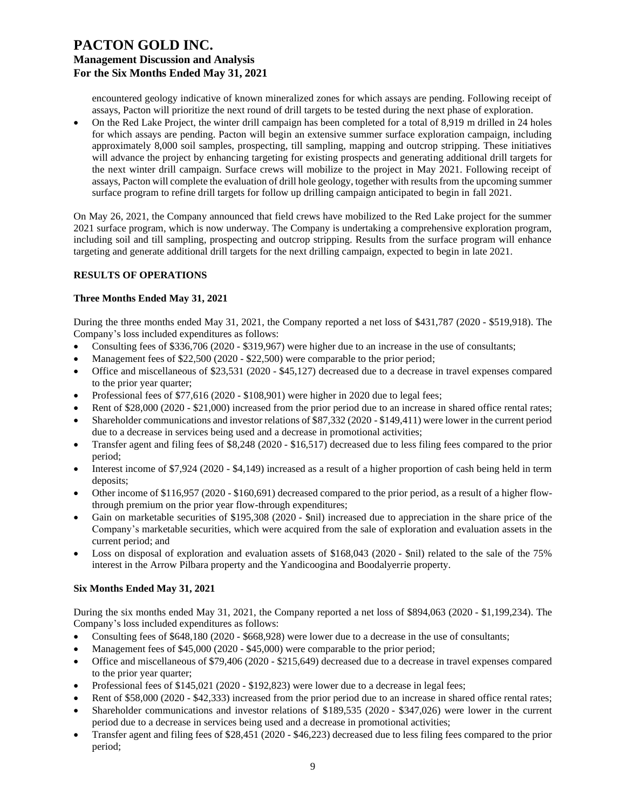encountered geology indicative of known mineralized zones for which assays are pending. Following receipt of assays, Pacton will prioritize the next round of drill targets to be tested during the next phase of exploration.

• On the Red Lake Project, the winter drill campaign has been completed for a total of 8,919 m drilled in 24 holes for which assays are pending. Pacton will begin an extensive summer surface exploration campaign, including approximately 8,000 soil samples, prospecting, till sampling, mapping and outcrop stripping. These initiatives will advance the project by enhancing targeting for existing prospects and generating additional drill targets for the next winter drill campaign. Surface crews will mobilize to the project in May 2021. Following receipt of assays, Pacton will complete the evaluation of drill hole geology, together with results from the upcoming summer surface program to refine drill targets for follow up drilling campaign anticipated to begin in fall 2021.

On May 26, 2021, the Company announced that field crews have mobilized to the Red Lake project for the summer 2021 surface program, which is now underway. The Company is undertaking a comprehensive exploration program, including soil and till sampling, prospecting and outcrop stripping. Results from the surface program will enhance targeting and generate additional drill targets for the next drilling campaign, expected to begin in late 2021.

### **RESULTS OF OPERATIONS**

### **Three Months Ended May 31, 2021**

During the three months ended May 31, 2021, the Company reported a net loss of \$431,787 (2020 - \$519,918). The Company's loss included expenditures as follows:

- Consulting fees of \$336,706 (2020 \$319,967) were higher due to an increase in the use of consultants;
- Management fees of \$22,500 (2020 \$22,500) were comparable to the prior period;
- Office and miscellaneous of \$23,531 (2020 \$45,127) decreased due to a decrease in travel expenses compared to the prior year quarter;
- Professional fees of \$77,616 (2020 \$108,901) were higher in 2020 due to legal fees;
- Rent of \$28,000 (2020 \$21,000) increased from the prior period due to an increase in shared office rental rates;
- Shareholder communications and investor relations of \$87,332 (2020 \$149,411) were lower in the current period due to a decrease in services being used and a decrease in promotional activities;
- Transfer agent and filing fees of \$8,248 (2020 \$16,517) decreased due to less filing fees compared to the prior period;
- Interest income of \$7,924 (2020 \$4,149) increased as a result of a higher proportion of cash being held in term deposits;
- Other income of \$116,957 (2020 \$160,691) decreased compared to the prior period, as a result of a higher flowthrough premium on the prior year flow-through expenditures;
- Gain on marketable securities of \$195,308 (2020 \$nil) increased due to appreciation in the share price of the Company's marketable securities, which were acquired from the sale of exploration and evaluation assets in the current period; and
- Loss on disposal of exploration and evaluation assets of \$168,043 (2020 \$nil) related to the sale of the 75% interest in the Arrow Pilbara property and the Yandicoogina and Boodalyerrie property.

### **Six Months Ended May 31, 2021**

During the six months ended May 31, 2021, the Company reported a net loss of \$894,063 (2020 - \$1,199,234). The Company's loss included expenditures as follows:

- Consulting fees of \$648,180 (2020 \$668,928) were lower due to a decrease in the use of consultants;
- Management fees of \$45,000 (2020 \$45,000) were comparable to the prior period;
- Office and miscellaneous of \$79,406 (2020 \$215,649) decreased due to a decrease in travel expenses compared to the prior year quarter;
- Professional fees of \$145,021 (2020 \$192,823) were lower due to a decrease in legal fees;
- Rent of \$58,000 (2020 \$42,333) increased from the prior period due to an increase in shared office rental rates;
- Shareholder communications and investor relations of \$189,535 (2020 \$347,026) were lower in the current period due to a decrease in services being used and a decrease in promotional activities;
- Transfer agent and filing fees of \$28,451 (2020 \$46,223) decreased due to less filing fees compared to the prior period;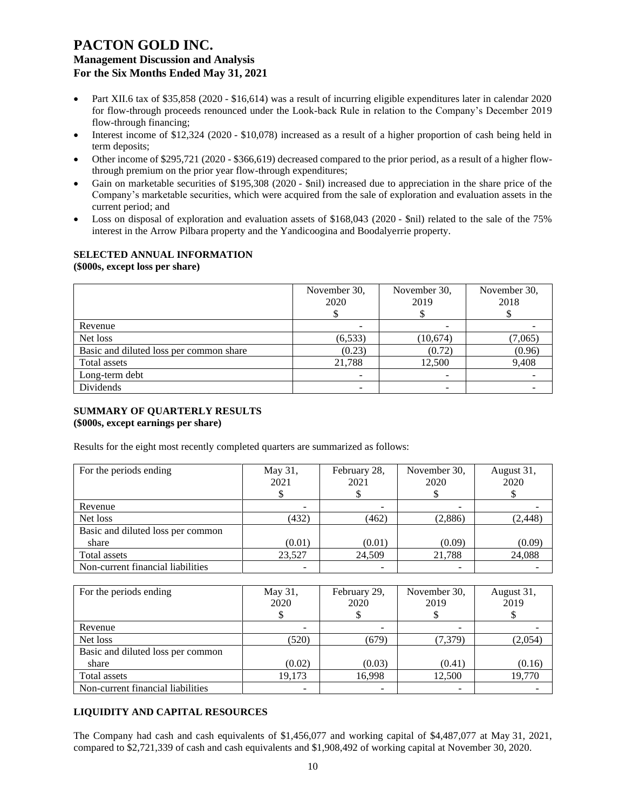- Part XII.6 tax of \$35,858 (2020 \$16,614) was a result of incurring eligible expenditures later in calendar 2020 for flow-through proceeds renounced under the Look-back Rule in relation to the Company's December 2019 flow-through financing;
- Interest income of \$12,324 (2020 \$10,078) increased as a result of a higher proportion of cash being held in term deposits;
- Other income of \$295,721 (2020 \$366,619) decreased compared to the prior period, as a result of a higher flowthrough premium on the prior year flow-through expenditures;
- Gain on marketable securities of \$195,308 (2020 \$nil) increased due to appreciation in the share price of the Company's marketable securities, which were acquired from the sale of exploration and evaluation assets in the current period; and
- Loss on disposal of exploration and evaluation assets of \$168,043 (2020 \$nil) related to the sale of the 75% interest in the Arrow Pilbara property and the Yandicoogina and Boodalyerrie property.

#### **SELECTED ANNUAL INFORMATION (\$000s, except loss per share)**

|                                         | November 30,<br>2020 | November 30,<br>2019 | November 30,<br>2018 |
|-----------------------------------------|----------------------|----------------------|----------------------|
| Revenue                                 |                      |                      |                      |
| Net loss                                | (6, 533)             | (10, 674)            | (7,065)              |
| Basic and diluted loss per common share | (0.23)               | (0.72)               | (0.96)               |
| Total assets                            | 21,788               | 12,500               | 9,408                |
| Long-term debt                          |                      |                      |                      |
| Dividends                               |                      |                      |                      |

### **SUMMARY OF QUARTERLY RESULTS (\$000s, except earnings per share)**

Results for the eight most recently completed quarters are summarized as follows:

| For the periods ending            | May 31,<br>2021 | February 28,<br>2021 | November 30,<br>2020 | August 31,<br>2020 |
|-----------------------------------|-----------------|----------------------|----------------------|--------------------|
| Revenue                           |                 |                      |                      |                    |
| Net loss                          | (432)           | (462)                | (2,886)              | (2, 448)           |
| Basic and diluted loss per common |                 |                      |                      |                    |
| share                             | (0.01)          | (0.01)               | (0.09)               | (0.09)             |
| Total assets                      | 23,527          | 24,509               | 21,788               | 24,088             |
| Non-current financial liabilities |                 |                      |                      |                    |

| For the periods ending            | May 31,<br>2020 | February 29,<br>2020 | November 30,<br>2019 | August 31,<br>2019 |
|-----------------------------------|-----------------|----------------------|----------------------|--------------------|
| Revenue                           |                 |                      |                      |                    |
| Net loss                          | (520)           | (679)                | (7,379)              | (2,054)            |
| Basic and diluted loss per common |                 |                      |                      |                    |
| share                             | (0.02)          | (0.03)               | (0.41)               | (0.16)             |
| Total assets                      | 19.173          | 16.998               | 12.500               | 19,770             |
| Non-current financial liabilities |                 |                      |                      |                    |

### **LIQUIDITY AND CAPITAL RESOURCES**

The Company had cash and cash equivalents of \$1,456,077 and working capital of \$4,487,077 at May 31, 2021, compared to \$2,721,339 of cash and cash equivalents and \$1,908,492 of working capital at November 30, 2020.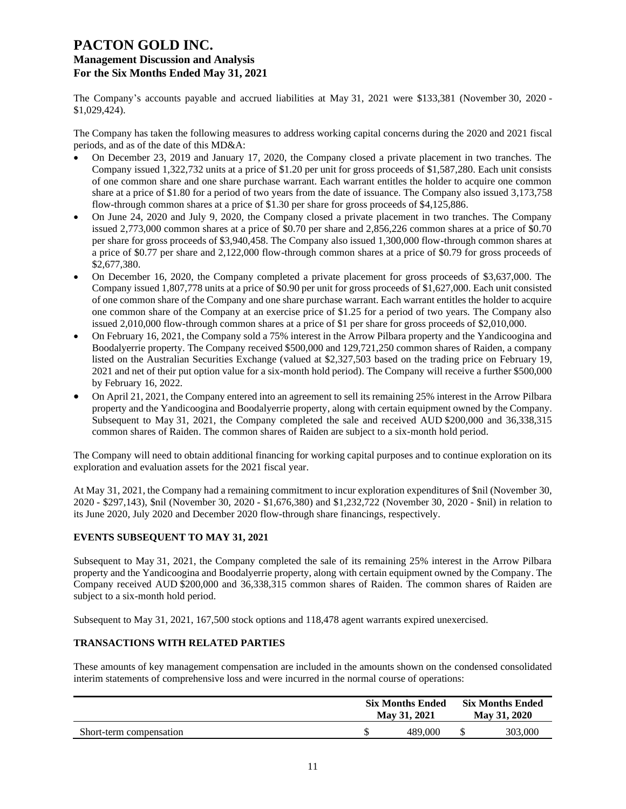The Company's accounts payable and accrued liabilities at May 31, 2021 were \$133,381 (November 30, 2020 - \$1,029,424).

The Company has taken the following measures to address working capital concerns during the 2020 and 2021 fiscal periods, and as of the date of this MD&A:

- On December 23, 2019 and January 17, 2020, the Company closed a private placement in two tranches. The Company issued 1,322,732 units at a price of \$1.20 per unit for gross proceeds of \$1,587,280. Each unit consists of one common share and one share purchase warrant. Each warrant entitles the holder to acquire one common share at a price of \$1.80 for a period of two years from the date of issuance. The Company also issued 3,173,758 flow-through common shares at a price of \$1.30 per share for gross proceeds of \$4,125,886.
- On June 24, 2020 and July 9, 2020, the Company closed a private placement in two tranches. The Company issued 2,773,000 common shares at a price of \$0.70 per share and 2,856,226 common shares at a price of \$0.70 per share for gross proceeds of \$3,940,458. The Company also issued 1,300,000 flow-through common shares at a price of \$0.77 per share and 2,122,000 flow-through common shares at a price of \$0.79 for gross proceeds of \$2,677,380.
- On December 16, 2020, the Company completed a private placement for gross proceeds of \$3,637,000. The Company issued 1,807,778 units at a price of \$0.90 per unit for gross proceeds of \$1,627,000. Each unit consisted of one common share of the Company and one share purchase warrant. Each warrant entitles the holder to acquire one common share of the Company at an exercise price of \$1.25 for a period of two years. The Company also issued 2,010,000 flow-through common shares at a price of \$1 per share for gross proceeds of \$2,010,000.
- On February 16, 2021, the Company sold a 75% interest in the Arrow Pilbara property and the Yandicoogina and Boodalyerrie property. The Company received \$500,000 and 129,721,250 common shares of Raiden, a company listed on the Australian Securities Exchange (valued at \$2,327,503 based on the trading price on February 19, 2021 and net of their put option value for a six-month hold period). The Company will receive a further \$500,000 by February 16, 2022.
- On April 21, 2021, the Company entered into an agreement to sell its remaining 25% interest in the Arrow Pilbara property and the Yandicoogina and Boodalyerrie property, along with certain equipment owned by the Company. Subsequent to May 31, 2021, the Company completed the sale and received AUD \$200,000 and 36,338,315 common shares of Raiden. The common shares of Raiden are subject to a six-month hold period.

The Company will need to obtain additional financing for working capital purposes and to continue exploration on its exploration and evaluation assets for the 2021 fiscal year.

At May 31, 2021, the Company had a remaining commitment to incur exploration expenditures of \$nil (November 30, 2020 - \$297,143), \$nil (November 30, 2020 - \$1,676,380) and \$1,232,722 (November 30, 2020 - \$nil) in relation to its June 2020, July 2020 and December 2020 flow-through share financings, respectively.

### **EVENTS SUBSEQUENT TO MAY 31, 2021**

Subsequent to May 31, 2021, the Company completed the sale of its remaining 25% interest in the Arrow Pilbara property and the Yandicoogina and Boodalyerrie property, along with certain equipment owned by the Company. The Company received AUD \$200,000 and 36,338,315 common shares of Raiden. The common shares of Raiden are subject to a six-month hold period.

Subsequent to May 31, 2021, 167,500 stock options and 118,478 agent warrants expired unexercised.

### **TRANSACTIONS WITH RELATED PARTIES**

These amounts of key management compensation are included in the amounts shown on the condensed consolidated interim statements of comprehensive loss and were incurred in the normal course of operations:

|                         | <b>Six Months Ended</b><br>May 31, 2021 | <b>Six Months Ended</b><br>May 31, 2020 |         |
|-------------------------|-----------------------------------------|-----------------------------------------|---------|
| Short-term compensation | 489,000                                 |                                         | 303,000 |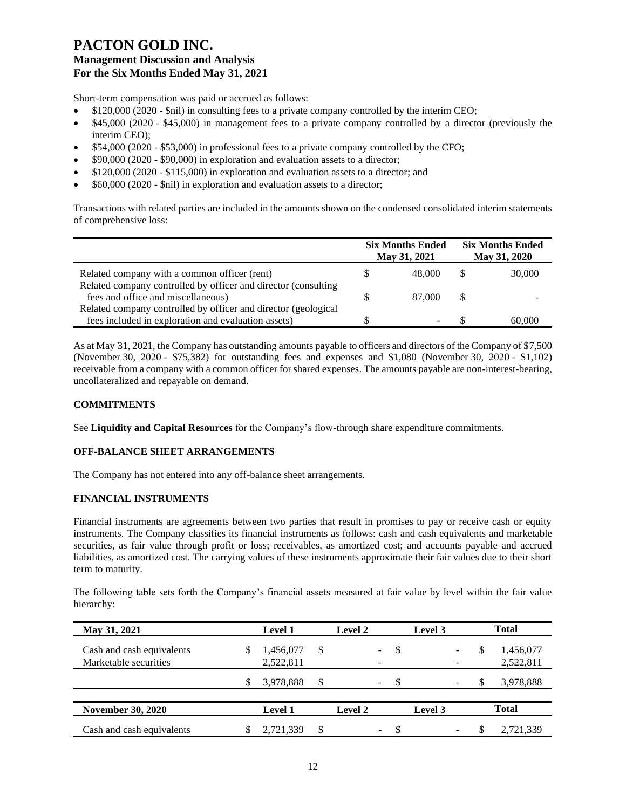Short-term compensation was paid or accrued as follows:

- \$120,000 (2020 \$nil) in consulting fees to a private company controlled by the interim CEO;
- \$45,000 (2020 \$45,000) in management fees to a private company controlled by a director (previously the interim CEO);
- \$54,000 (2020 \$53,000) in professional fees to a private company controlled by the CFO;
- \$90,000 (2020 \$90,000) in exploration and evaluation assets to a director;
- \$120,000 (2020 \$115,000) in exploration and evaluation assets to a director; and
- \$60,000 (2020 \$nil) in exploration and evaluation assets to a director;

Transactions with related parties are included in the amounts shown on the condensed consolidated interim statements of comprehensive loss:

|                                                                | <b>Six Months Ended</b><br>May 31, 2021 | <b>Six Months Ended</b><br>May 31, 2020 |        |
|----------------------------------------------------------------|-----------------------------------------|-----------------------------------------|--------|
| Related company with a common officer (rent)                   | 48,000                                  |                                         | 30,000 |
| Related company controlled by officer and director (consulting |                                         |                                         |        |
| fees and office and miscellaneous)                             | 87,000                                  | S                                       |        |
| Related company controlled by officer and director (geological |                                         |                                         |        |
| fees included in exploration and evaluation assets)            |                                         |                                         | 60,000 |

As at May 31, 2021, the Company has outstanding amounts payable to officers and directors of the Company of \$7,500 (November 30, 2020 - \$75,382) for outstanding fees and expenses and \$1,080 (November 30, 2020 - \$1,102) receivable from a company with a common officer for shared expenses. The amounts payable are non-interest-bearing, uncollateralized and repayable on demand.

### **COMMITMENTS**

See **Liquidity and Capital Resources** for the Company's flow-through share expenditure commitments.

### **OFF-BALANCE SHEET ARRANGEMENTS**

The Company has not entered into any off-balance sheet arrangements.

### **FINANCIAL INSTRUMENTS**

Financial instruments are agreements between two parties that result in promises to pay or receive cash or equity instruments. The Company classifies its financial instruments as follows: cash and cash equivalents and marketable securities, as fair value through profit or loss; receivables, as amortized cost; and accounts payable and accrued liabilities, as amortized cost. The carrying values of these instruments approximate their fair values due to their short term to maturity.

The following table sets forth the Company's financial assets measured at fair value by level within the fair value hierarchy:

| May 31, 2021              |   | <b>Level 1</b> |    | Level 2 |                          |               | Level 3 |   | <b>Total</b> |
|---------------------------|---|----------------|----|---------|--------------------------|---------------|---------|---|--------------|
| Cash and cash equivalents | S | 1,456,077      | \$ |         | $\sim$                   | S             |         | S | 1,456,077    |
| Marketable securities     |   | 2,522,811      |    |         |                          |               |         |   | 2,522,811    |
|                           | S | 3,978,888      | \$ |         | $\overline{\phantom{0}}$ | \$.           |         |   | 3,978,888    |
| <b>November 30, 2020</b>  |   | <b>Level 1</b> |    | Level 2 |                          |               | Level 3 |   | <b>Total</b> |
| Cash and cash equivalents |   | 2,721,339      | S  |         | $\sim$                   | <sup>\$</sup> |         |   | 2,721,339    |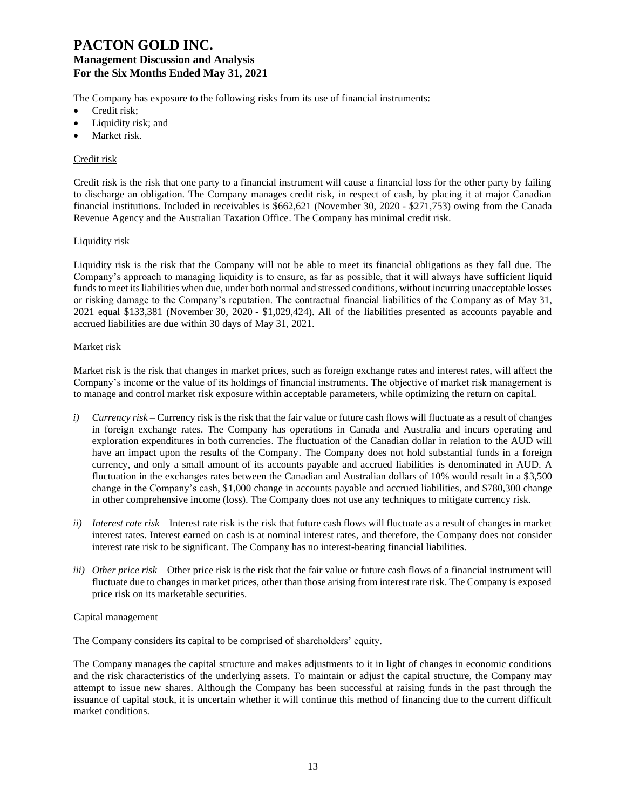The Company has exposure to the following risks from its use of financial instruments:

- Credit risk;
- Liquidity risk; and
- Market risk.

### Credit risk

Credit risk is the risk that one party to a financial instrument will cause a financial loss for the other party by failing to discharge an obligation. The Company manages credit risk, in respect of cash, by placing it at major Canadian financial institutions. Included in receivables is \$662,621 (November 30, 2020 - \$271,753) owing from the Canada Revenue Agency and the Australian Taxation Office. The Company has minimal credit risk.

### Liquidity risk

Liquidity risk is the risk that the Company will not be able to meet its financial obligations as they fall due. The Company's approach to managing liquidity is to ensure, as far as possible, that it will always have sufficient liquid funds to meet its liabilities when due, under both normal and stressed conditions, without incurring unacceptable losses or risking damage to the Company's reputation. The contractual financial liabilities of the Company as of May 31, 2021 equal \$133,381 (November 30, 2020 - \$1,029,424). All of the liabilities presented as accounts payable and accrued liabilities are due within 30 days of May 31, 2021.

### Market risk

Market risk is the risk that changes in market prices, such as foreign exchange rates and interest rates, will affect the Company's income or the value of its holdings of financial instruments. The objective of market risk management is to manage and control market risk exposure within acceptable parameters, while optimizing the return on capital.

- *i) Currency risk*  Currency risk is the risk that the fair value or future cash flows will fluctuate as a result of changes in foreign exchange rates. The Company has operations in Canada and Australia and incurs operating and exploration expenditures in both currencies. The fluctuation of the Canadian dollar in relation to the AUD will have an impact upon the results of the Company. The Company does not hold substantial funds in a foreign currency, and only a small amount of its accounts payable and accrued liabilities is denominated in AUD. A fluctuation in the exchanges rates between the Canadian and Australian dollars of 10% would result in a \$3,500 change in the Company's cash, \$1,000 change in accounts payable and accrued liabilities, and \$780,300 change in other comprehensive income (loss). The Company does not use any techniques to mitigate currency risk.
- *ii) Interest rate risk –* Interest rate risk is the risk that future cash flows will fluctuate as a result of changes in market interest rates. Interest earned on cash is at nominal interest rates, and therefore, the Company does not consider interest rate risk to be significant. The Company has no interest-bearing financial liabilities.
- *iii) Other price risk –* Other price risk is the risk that the fair value or future cash flows of a financial instrument will fluctuate due to changes in market prices, other than those arising from interest rate risk. The Company is exposed price risk on its marketable securities.

### Capital management

The Company considers its capital to be comprised of shareholders' equity.

The Company manages the capital structure and makes adjustments to it in light of changes in economic conditions and the risk characteristics of the underlying assets. To maintain or adjust the capital structure, the Company may attempt to issue new shares. Although the Company has been successful at raising funds in the past through the issuance of capital stock, it is uncertain whether it will continue this method of financing due to the current difficult market conditions.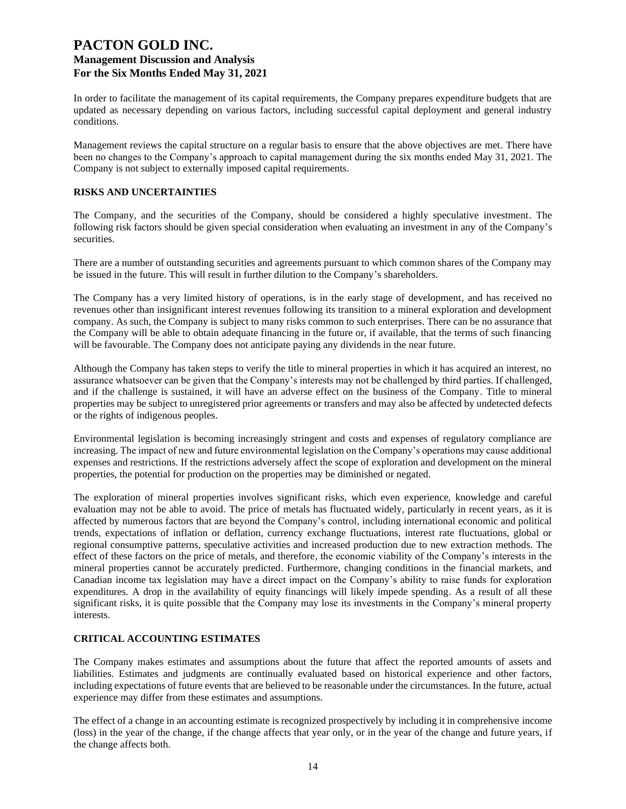In order to facilitate the management of its capital requirements, the Company prepares expenditure budgets that are updated as necessary depending on various factors, including successful capital deployment and general industry conditions.

Management reviews the capital structure on a regular basis to ensure that the above objectives are met. There have been no changes to the Company's approach to capital management during the six months ended May 31, 2021. The Company is not subject to externally imposed capital requirements.

#### **RISKS AND UNCERTAINTIES**

The Company, and the securities of the Company, should be considered a highly speculative investment. The following risk factors should be given special consideration when evaluating an investment in any of the Company's securities.

There are a number of outstanding securities and agreements pursuant to which common shares of the Company may be issued in the future. This will result in further dilution to the Company's shareholders.

The Company has a very limited history of operations, is in the early stage of development, and has received no revenues other than insignificant interest revenues following its transition to a mineral exploration and development company. As such, the Company is subject to many risks common to such enterprises. There can be no assurance that the Company will be able to obtain adequate financing in the future or, if available, that the terms of such financing will be favourable. The Company does not anticipate paying any dividends in the near future.

Although the Company has taken steps to verify the title to mineral properties in which it has acquired an interest, no assurance whatsoever can be given that the Company's interests may not be challenged by third parties. If challenged, and if the challenge is sustained, it will have an adverse effect on the business of the Company. Title to mineral properties may be subject to unregistered prior agreements or transfers and may also be affected by undetected defects or the rights of indigenous peoples.

Environmental legislation is becoming increasingly stringent and costs and expenses of regulatory compliance are increasing. The impact of new and future environmental legislation on the Company's operations may cause additional expenses and restrictions. If the restrictions adversely affect the scope of exploration and development on the mineral properties, the potential for production on the properties may be diminished or negated.

The exploration of mineral properties involves significant risks, which even experience, knowledge and careful evaluation may not be able to avoid. The price of metals has fluctuated widely, particularly in recent years, as it is affected by numerous factors that are beyond the Company's control, including international economic and political trends, expectations of inflation or deflation, currency exchange fluctuations, interest rate fluctuations, global or regional consumptive patterns, speculative activities and increased production due to new extraction methods. The effect of these factors on the price of metals, and therefore, the economic viability of the Company's interests in the mineral properties cannot be accurately predicted. Furthermore, changing conditions in the financial markets, and Canadian income tax legislation may have a direct impact on the Company's ability to raise funds for exploration expenditures. A drop in the availability of equity financings will likely impede spending. As a result of all these significant risks, it is quite possible that the Company may lose its investments in the Company's mineral property interests.

### **CRITICAL ACCOUNTING ESTIMATES**

The Company makes estimates and assumptions about the future that affect the reported amounts of assets and liabilities. Estimates and judgments are continually evaluated based on historical experience and other factors, including expectations of future events that are believed to be reasonable under the circumstances. In the future, actual experience may differ from these estimates and assumptions.

The effect of a change in an accounting estimate is recognized prospectively by including it in comprehensive income (loss) in the year of the change, if the change affects that year only, or in the year of the change and future years, if the change affects both.